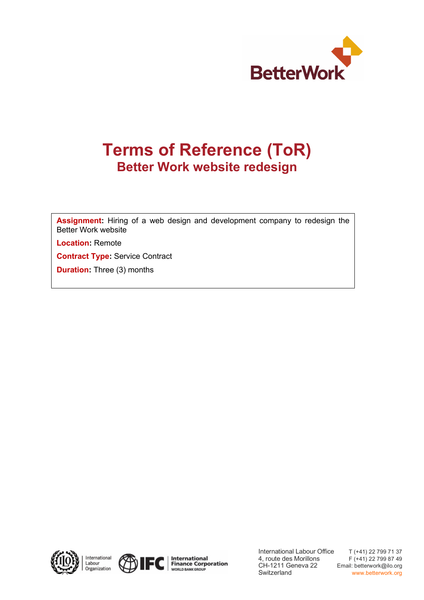

# **Terms of Reference (ToR) Better Work website redesign**

**Assignment:** Hiring of a web design and development company to redesign the Better Work website

**Location:** Remote

**Contract Type:** Service Contract

**Duration:** Three (3) months









International Labour Office 4, route des Morillons CH-1211 Geneva 22 **Switzerland** 

T (+41) 22 799 71 37 F (+41) 22 799 87 49 Email: betterwork@ilo.org www.betterwork.org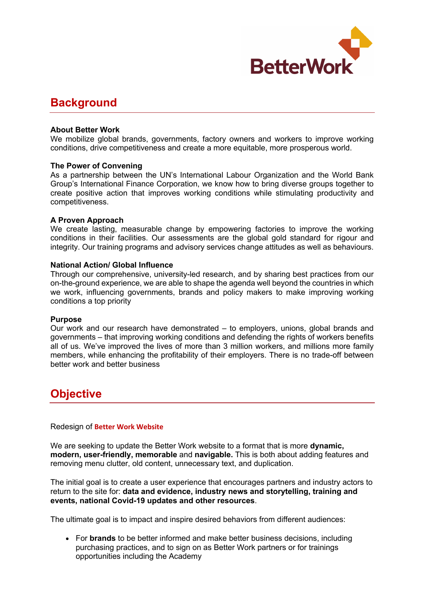

### **Background**

#### **About Better Work**

We mobilize global brands, governments, factory owners and workers to improve working conditions, drive competitiveness and create a more equitable, more prosperous world.

#### **The Power of Convening**

As a partnership between the UN's International Labour Organization and the World Bank Group's International Finance Corporation, we know how to bring diverse groups together to create positive action that improves working conditions while stimulating productivity and competitiveness.

#### **A Proven Approach**

We create lasting, measurable change by empowering factories to improve the working conditions in their facilities. Our assessments are the global gold standard for rigour and integrity. Our training programs and advisory services change attitudes as well as behaviours.

#### **National Action/ Global Influence**

Through our comprehensive, university-led research, and by sharing best practices from our on-the-ground experience, we are able to shape the agenda well beyond the countries in which we work, influencing governments, brands and policy makers to make improving working conditions a top priority

#### **Purpose**

Our work and our research have demonstrated – to employers, unions, global brands and governments – that improving working conditions and defending the rights of workers benefits all of us. We've improved the lives of more than 3 million workers, and millions more family members, while enhancing the profitability of their employers. There is no trade-off between better work and better business

### **Objective**

#### Redesign of **Better Work Website**

We are seeking to update the Better Work website to a format that is more **dynamic, modern, user-friendly, memorable** and **navigable.** This is both about adding features and removing menu clutter, old content, unnecessary text, and duplication.

The initial goal is to create a user experience that encourages partners and industry actors to return to the site for: **data and evidence, industry news and storytelling, training and events, national Covid-19 updates and other resources**.

The ultimate goal is to impact and inspire desired behaviors from different audiences:

• For **brands** to be better informed and make better business decisions, including purchasing practices, and to sign on as Better Work partners or for trainings opportunities including the Academy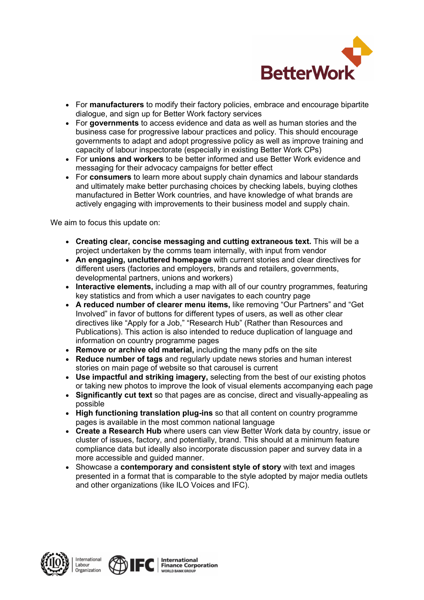

- For **manufacturers** to modify their factory policies, embrace and encourage bipartite dialogue, and sign up for Better Work factory services
- For **governments** to access evidence and data as well as human stories and the business case for progressive labour practices and policy. This should encourage governments to adapt and adopt progressive policy as well as improve training and capacity of labour inspectorate (especially in existing Better Work CPs)
- For **unions and workers** to be better informed and use Better Work evidence and messaging for their advocacy campaigns for better effect
- For **consumers** to learn more about supply chain dynamics and labour standards and ultimately make better purchasing choices by checking labels, buying clothes manufactured in Better Work countries, and have knowledge of what brands are actively engaging with improvements to their business model and supply chain.

We aim to focus this update on:

- **Creating clear, concise messaging and cutting extraneous text.** This will be a project undertaken by the comms team internally, with input from vendor
- **An engaging, uncluttered homepage** with current stories and clear directives for different users (factories and employers, brands and retailers, governments, developmental partners, unions and workers)
- **Interactive elements,** including a map with all of our country programmes, featuring key statistics and from which a user navigates to each country page
- **A reduced number of clearer menu items,** like removing "Our Partners" and "Get Involved" in favor of buttons for different types of users, as well as other clear directives like "Apply for a Job," "Research Hub" (Rather than Resources and Publications). This action is also intended to reduce duplication of language and information on country programme pages
- **Remove or archive old material,** including the many pdfs on the site
- **Reduce number of tags** and regularly update news stories and human interest stories on main page of website so that carousel is current
- **Use impactful and striking imagery,** selecting from the best of our existing photos or taking new photos to improve the look of visual elements accompanying each page
- **Significantly cut text** so that pages are as concise, direct and visually-appealing as possible
- **High functioning translation plug-ins** so that all content on country programme pages is available in the most common national language
- **Create a Research Hub** where users can view Better Work data by country, issue or cluster of issues, factory, and potentially, brand. This should at a minimum feature compliance data but ideally also incorporate discussion paper and survey data in a more accessible and guided manner.
- Showcase a **contemporary and consistent style of story** with text and images presented in a format that is comparable to the style adopted by major media outlets and other organizations (like ILO Voices and IFC).



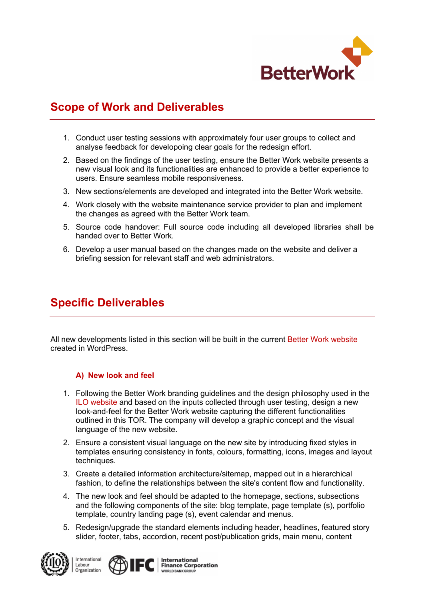

### **Scope of Work and Deliverables**

- 1. Conduct user testing sessions with approximately four user groups to collect and analyse feedback for developoing clear goals for the redesign effort.
- 2. Based on the findings of the user testing, ensure the Better Work website presents a new visual look and its functionalities are enhanced to provide a better experience to users. Ensure seamless mobile responsiveness.
- 3. New sections/elements are developed and integrated into the Better Work website.
- 4. Work closely with the website maintenance service provider to plan and implement the changes as agreed with the Better Work team.
- 5. Source code handover: Full source code including all developed libraries shall be handed over to Better Work.
- 6. Develop a user manual based on the changes made on the website and deliver a briefing session for relevant staff and web administrators.

# **Specific Deliverables**

All new developments listed in this section will be built in the current Better Work website created in WordPress.

#### **A) New look and feel**

- 1. Following the Better Work branding guidelines and the design philosophy used in the ILO website and based on the inputs collected through user testing, design a new look-and-feel for the Better Work website capturing the different functionalities outlined in this TOR. The company will develop a graphic concept and the visual language of the new website.
- 2. Ensure a consistent visual language on the new site by introducing fixed styles in templates ensuring consistency in fonts, colours, formatting, icons, images and layout techniques.
- 3. Create a detailed information architecture/sitemap, mapped out in a hierarchical fashion, to define the relationships between the site's content flow and functionality.
- 4. The new look and feel should be adapted to the homepage, sections, subsections and the following components of the site: blog template, page template (s), portfolio template, country landing page (s), event calendar and menus.
- 5. Redesign/upgrade the standard elements including header, headlines, featured story slider, footer, tabs, accordion, recent post/publication grids, main menu, content



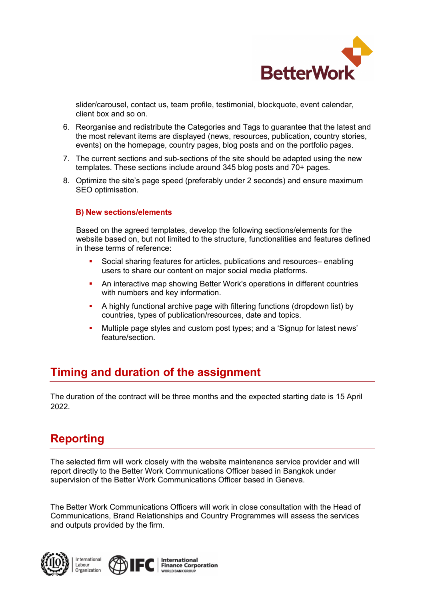

slider/carousel, contact us, team profile, testimonial, blockquote, event calendar, client box and so on.

- 6. Reorganise and redistribute the Categories and Tags to guarantee that the latest and the most relevant items are displayed (news, resources, publication, country stories, events) on the homepage, country pages, blog posts and on the portfolio pages.
- 7. The current sections and sub-sections of the site should be adapted using the new templates. These sections include around 345 blog posts and 70+ pages.
- 8. Optimize the site's page speed (preferably under 2 seconds) and ensure maximum SEO optimisation.

#### **B) New sections/elements**

Based on the agreed templates, develop the following sections/elements for the website based on, but not limited to the structure, functionalities and features defined in these terms of reference:

- § Social sharing features for articles, publications and resources– enabling users to share our content on major social media platforms.
- An interactive map showing Better Work's operations in different countries with numbers and key information.
- § A highly functional archive page with filtering functions (dropdown list) by countries, types of publication/resources, date and topics.
- § Multiple page styles and custom post types; and a 'Signup for latest news' feature/section.

### **Timing and duration of the assignment**

The duration of the contract will be three months and the expected starting date is 15 April 2022.

### **Reporting**

The selected firm will work closely with the website maintenance service provider and will report directly to the Better Work Communications Officer based in Bangkok under supervision of the Better Work Communications Officer based in Geneva.

The Better Work Communications Officers will work in close consultation with the Head of Communications, Brand Relationships and Country Programmes will assess the services and outputs provided by the firm.





**International Finance Corporation**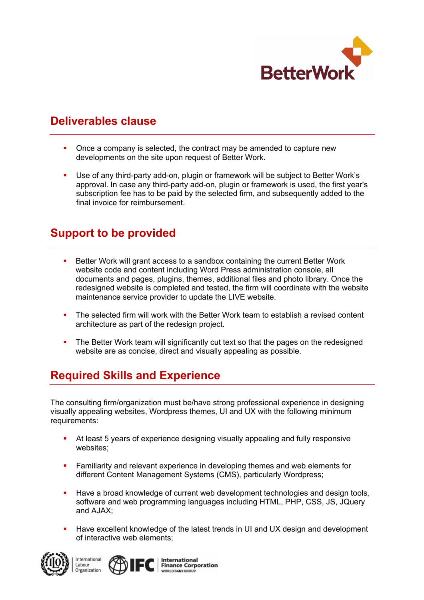

### **Deliverables clause**

- § Once a company is selected, the contract may be amended to capture new developments on the site upon request of Better Work.
- Use of any third-party add-on, plugin or framework will be subject to Better Work's approval. In case any third-party add-on, plugin or framework is used, the first year's subscription fee has to be paid by the selected firm, and subsequently added to the final invoice for reimbursement.

### **Support to be provided**

- Better Work will grant access to a sandbox containing the current Better Work website code and content including Word Press administration console, all documents and pages, plugins, themes, additional files and photo library. Once the redesigned website is completed and tested, the firm will coordinate with the website maintenance service provider to update the LIVE website.
- The selected firm will work with the Better Work team to establish a revised content architecture as part of the redesign project.
- The Better Work team will significantly cut text so that the pages on the redesigned website are as concise, direct and visually appealing as possible.

# **Required Skills and Experience**

The consulting firm/organization must be/have strong professional experience in designing visually appealing websites, Wordpress themes, UI and UX with the following minimum requirements:

- At least 5 years of experience designing visually appealing and fully responsive websites;
- **•** Familiarity and relevant experience in developing themes and web elements for different Content Management Systems (CMS), particularly Wordpress;
- **Have a broad knowledge of current web development technologies and design tools,** software and web programming languages including HTML, PHP, CSS, JS, JQuery and AJAX;
- **Have excellent knowledge of the latest trends in UI and UX design and development** of interactive web elements;



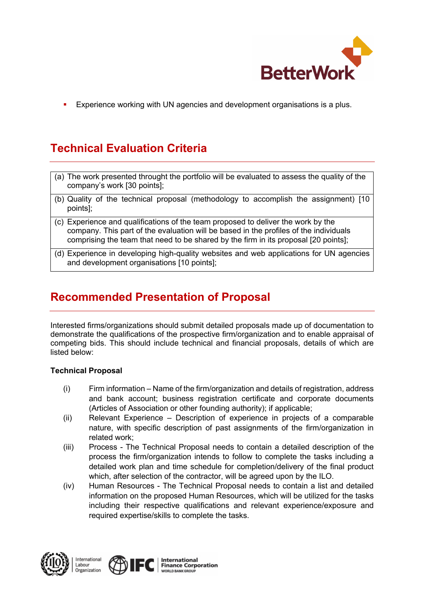

**Experience working with UN agencies and development organisations is a plus.** 

# **Technical Evaluation Criteria**

- (a) The work presented throught the portfolio will be evaluated to assess the quality of the company's work [30 points];
- (b) Quality of the technical proposal (methodology to accomplish the assignment) [10 points];
- (c) Experience and qualifications of the team proposed to deliver the work by the company. This part of the evaluation will be based in the profiles of the individuals comprising the team that need to be shared by the firm in its proposal [20 points];
- (d) Experience in developing high-quality websites and web applications for UN agencies and development organisations [10 points];

# **Recommended Presentation of Proposal**

Interested firms/organizations should submit detailed proposals made up of documentation to demonstrate the qualifications of the prospective firm/organization and to enable appraisal of competing bids. This should include technical and financial proposals, details of which are listed below:

#### **Technical Proposal**

- (i) Firm information Name of the firm/organization and details of registration, address and bank account; business registration certificate and corporate documents (Articles of Association or other founding authority); if applicable;
- (ii) Relevant Experience Description of experience in projects of a comparable nature, with specific description of past assignments of the firm/organization in related work;
- (iii) Process The Technical Proposal needs to contain a detailed description of the process the firm/organization intends to follow to complete the tasks including a detailed work plan and time schedule for completion/delivery of the final product which, after selection of the contractor, will be agreed upon by the ILO.
- (iv) Human Resources The Technical Proposal needs to contain a list and detailed information on the proposed Human Resources, which will be utilized for the tasks including their respective qualifications and relevant experience/exposure and required expertise/skills to complete the tasks.



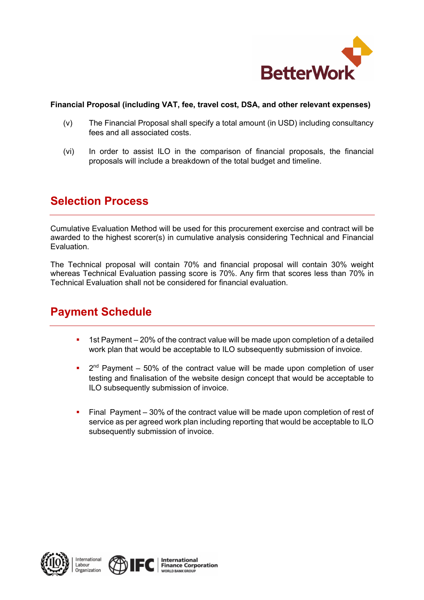

#### **Financial Proposal (including VAT, fee, travel cost, DSA, and other relevant expenses)**

- (v) The Financial Proposal shall specify a total amount (in USD) including consultancy fees and all associated costs.
- (vi) In order to assist ILO in the comparison of financial proposals, the financial proposals will include a breakdown of the total budget and timeline.

### **Selection Process**

Cumulative Evaluation Method will be used for this procurement exercise and contract will be awarded to the highest scorer(s) in cumulative analysis considering Technical and Financial Evaluation.

The Technical proposal will contain 70% and financial proposal will contain 30% weight whereas Technical Evaluation passing score is 70%. Any firm that scores less than 70% in Technical Evaluation shall not be considered for financial evaluation.

### **Payment Schedule**

- 1st Payment 20% of the contract value will be made upon completion of a detailed work plan that would be acceptable to ILO subsequently submission of invoice.
- $\bullet$  2<sup>nd</sup> Payment 50% of the contract value will be made upon completion of user testing and finalisation of the website design concept that would be acceptable to ILO subsequently submission of invoice.
- Final Payment 30% of the contract value will be made upon completion of rest of service as per agreed work plan including reporting that would be acceptable to ILO subsequently submission of invoice.